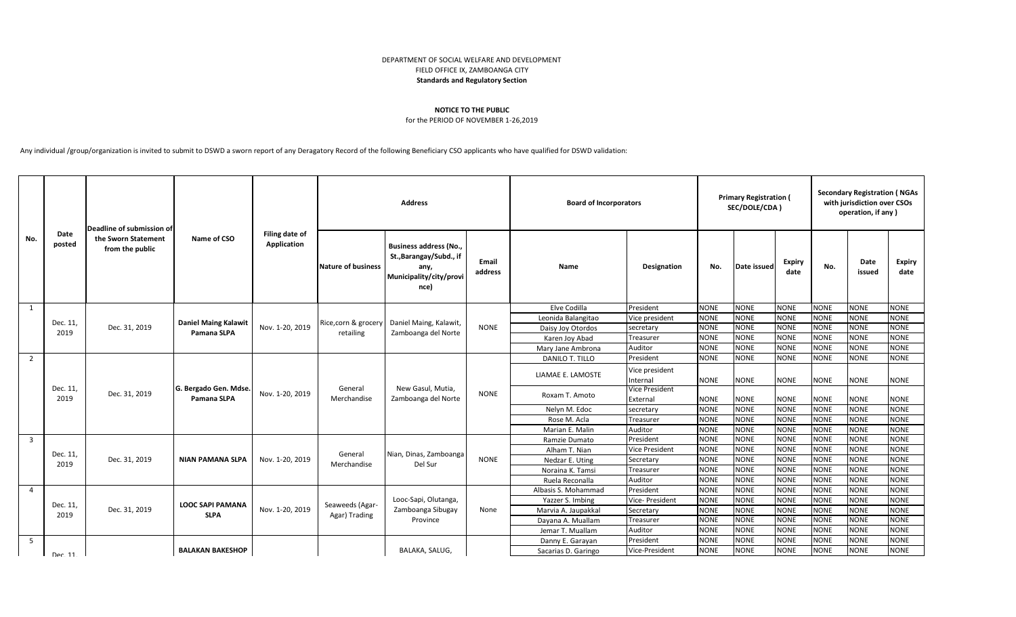## DEPARTMENT OF SOCIAL WELFARE AND DEVELOPMENT FIELD OFFICE IX, ZAMBOANGA CITY **Standards and Regulatory Section**

## **NOTICE TO THE PUBLIC**

## for the PERIOD OF NOVEMBER 1-26,2019

Any individual /group/organization is invited to submit to DSWD a sworn report of any Deragatory Record of the following Beneficiary CSO applicants who have qualified for DSWD validation:

| No.            | Date<br>posted   | Deadline of submission of<br>the Sworn Statement<br>from the public | Name of CSO                                | Filing date of<br>Application | <b>Address</b>                    |                                                                                                     |                  | <b>Board of Incorporators</b> |                            | <b>Primary Registration (</b><br>SEC/DOLE/CDA) |             |                       | <b>Secondary Registration (NGAs</b><br>with jurisdiction over CSOs<br>operation, if any) |                |                       |
|----------------|------------------|---------------------------------------------------------------------|--------------------------------------------|-------------------------------|-----------------------------------|-----------------------------------------------------------------------------------------------------|------------------|-------------------------------|----------------------------|------------------------------------------------|-------------|-----------------------|------------------------------------------------------------------------------------------|----------------|-----------------------|
|                |                  |                                                                     |                                            |                               | Nature of business                | <b>Business address (No.,</b><br>St., Barangay/Subd., if<br>any,<br>Municipality/city/provi<br>nce) | Email<br>address | Name                          | <b>Designation</b>         | No.                                            | Date issued | <b>Expiry</b><br>date | No.                                                                                      | Date<br>issued | <b>Expiry</b><br>date |
| 1              |                  |                                                                     | <b>Daniel Maing Kalawit</b><br>Pamana SLPA | Nov. 1-20, 2019               | Rice, corn & grocery<br>retailing | Daniel Maing, Kalawit,<br>Zamboanga del Norte                                                       |                  | Elve Codilla                  | President                  | <b>NONE</b>                                    | <b>NONE</b> | <b>NONE</b>           | <b>NONE</b>                                                                              | <b>NONE</b>    | <b>NONE</b>           |
|                | Dec. 11,<br>2019 | Dec. 31, 2019                                                       |                                            |                               |                                   |                                                                                                     |                  | Leonida Balangitao            | Vice president             | <b>NONE</b>                                    | <b>NONE</b> | <b>NONE</b>           | <b>NONE</b>                                                                              | <b>NONE</b>    | <b>NONE</b>           |
|                |                  |                                                                     |                                            |                               |                                   |                                                                                                     | <b>NONE</b>      | Daisy Joy Otordos             | secretary                  | <b>NONE</b>                                    | <b>NONE</b> | <b>NONE</b>           | <b>NONE</b>                                                                              | <b>NONE</b>    | <b>NONE</b>           |
|                |                  |                                                                     |                                            |                               |                                   |                                                                                                     |                  | Karen Joy Abad                | Treasurer                  | <b>NONE</b>                                    | <b>NONE</b> | <b>NONE</b>           | <b>NONE</b>                                                                              | <b>NONE</b>    | <b>NONE</b>           |
|                |                  |                                                                     |                                            |                               |                                   |                                                                                                     |                  | Mary Jane Ambrona             | Auditor                    | <b>NONE</b>                                    | <b>NONE</b> | <b>NONE</b>           | <b>NONE</b>                                                                              | <b>NONE</b>    | <b>NONE</b>           |
| 2              | Dec. 11,<br>2019 | Dec. 31, 2019                                                       | G. Bergado Gen. Mdse<br>Pamana SLPA        | Nov. 1-20, 2019               | General<br>Merchandise            | New Gasul, Mutia,<br>Zamboanga del Norte                                                            |                  | DANILO T. TILLO               | President                  | <b>NONE</b>                                    | <b>NONE</b> | <b>NONE</b>           | <b>NONE</b>                                                                              | <b>NONE</b>    | <b>NONE</b>           |
|                |                  |                                                                     |                                            |                               |                                   |                                                                                                     |                  | LIAMAE E. LAMOSTE             | Vice president<br>Internal | <b>NONE</b>                                    | <b>NONE</b> | <b>NONE</b>           | <b>NONE</b>                                                                              | <b>NONE</b>    | <b>NONE</b>           |
|                |                  |                                                                     |                                            |                               |                                   |                                                                                                     | <b>NONE</b>      | Roxam T. Amoto                | Vice President<br>External | <b>NONE</b>                                    | <b>NONE</b> | <b>NONE</b>           | <b>NONE</b>                                                                              | <b>NONE</b>    | <b>NONE</b>           |
|                |                  |                                                                     |                                            |                               |                                   |                                                                                                     |                  | Nelyn M. Edoc                 | secretary                  | <b>NONE</b>                                    | <b>NONE</b> | <b>NONE</b>           | <b>NONE</b>                                                                              | <b>NONE</b>    | <b>NONE</b>           |
|                |                  |                                                                     |                                            |                               |                                   |                                                                                                     |                  | Rose M. Acla                  | Treasurer                  | <b>NONE</b>                                    | <b>NONE</b> | <b>NONE</b>           | <b>NONE</b>                                                                              | <b>NONE</b>    | <b>NONE</b>           |
|                |                  |                                                                     |                                            |                               |                                   |                                                                                                     |                  | Marian E. Malin               | Auditor                    | <b>NONE</b>                                    | <b>NONE</b> | <b>NONE</b>           | <b>NONE</b>                                                                              | <b>NONE</b>    | <b>NONE</b>           |
| $\overline{3}$ | Dec. 11,<br>2019 | Dec. 31, 2019                                                       | <b>NIAN PAMANA SLPA</b>                    | Nov. 1-20, 2019               | General<br>Merchandise            | Nian, Dinas, Zamboanga<br>Del Sur                                                                   | <b>NONE</b>      | Ramzie Dumato                 | President                  | <b>NONE</b>                                    | <b>NONE</b> | <b>NONE</b>           | <b>NONE</b>                                                                              | <b>NONE</b>    | <b>NONE</b>           |
|                |                  |                                                                     |                                            |                               |                                   |                                                                                                     |                  | Alham T. Nian                 | <b>Vice President</b>      | <b>NONE</b>                                    | <b>NONE</b> | <b>NONE</b>           | <b>NONE</b>                                                                              | <b>NONE</b>    | <b>NONE</b>           |
|                |                  |                                                                     |                                            |                               |                                   |                                                                                                     |                  | Nedzar E. Uting               | Secretary                  | <b>NONE</b>                                    | <b>NONE</b> | <b>NONE</b>           | <b>NONE</b>                                                                              | <b>NONE</b>    | <b>NONE</b>           |
|                |                  |                                                                     |                                            |                               |                                   |                                                                                                     |                  | Noraina K. Tamsi              | Treasurer                  | <b>NONE</b>                                    | <b>NONE</b> | <b>NONE</b>           | <b>NONE</b>                                                                              | <b>NONE</b>    | <b>NONE</b>           |
|                |                  |                                                                     |                                            |                               |                                   |                                                                                                     |                  | Ruela Reconalla               | Auditor                    | <b>NONE</b>                                    | <b>NONE</b> | <b>NONE</b>           | <b>NONE</b>                                                                              | <b>NONE</b>    | <b>NONE</b>           |
| $\overline{4}$ | Dec. 11,         | Dec. 31, 2019                                                       | <b>LOOC SAPI PAMANA</b><br><b>SLPA</b>     | Nov. 1-20, 2019               | Seaweeds (Agar-<br>Agar) Trading  | Looc-Sapi, Olutanga,<br>Zamboanga Sibugay<br>Province                                               |                  | Albasis S. Mohammad           | President                  | <b>NONE</b>                                    | <b>NONE</b> | <b>NONE</b>           | <b>NONE</b>                                                                              | <b>NONE</b>    | <b>NONE</b>           |
|                |                  |                                                                     |                                            |                               |                                   |                                                                                                     | None             | Yazzer S. Imbing              | Vice- President            | <b>NONE</b>                                    | <b>NONE</b> | <b>NONE</b>           | <b>NONE</b>                                                                              | <b>NONE</b>    | <b>NONE</b>           |
|                | 2019             |                                                                     |                                            |                               |                                   |                                                                                                     |                  | Marvia A. Jaupakkal           | Secretary                  | <b>NONE</b>                                    | <b>NONE</b> | <b>NONE</b>           | <b>NONE</b>                                                                              | <b>NONE</b>    | <b>NONE</b>           |
|                |                  |                                                                     |                                            |                               |                                   |                                                                                                     |                  | Dayana A. Muallam             | Treasurer                  | <b>NONE</b>                                    | <b>NONE</b> | <b>NONE</b>           | <b>NONE</b>                                                                              | <b>NONE</b>    | <b>NONE</b>           |
|                |                  |                                                                     |                                            |                               |                                   |                                                                                                     |                  | Jemar T. Muallam              | Auditor                    | <b>NONE</b>                                    | <b>NONE</b> | <b>NONE</b>           | <b>NONE</b>                                                                              | <b>NONE</b>    | <b>NONE</b>           |
| - 5            |                  |                                                                     |                                            |                               |                                   |                                                                                                     |                  | Danny E. Garayan              | President                  | <b>NONE</b>                                    | <b>NONE</b> | <b>NONE</b>           | <b>NONE</b>                                                                              | <b>NONE</b>    | <b>NONE</b>           |
|                | Dec 11           |                                                                     | <b>BALAKAN BAKESHOP</b>                    |                               |                                   | BALAKA, SALUG,                                                                                      |                  | Sacarias D. Garingo           | Vice-President             | <b>NONE</b>                                    | <b>NONE</b> | <b>NONE</b>           | <b>NONE</b>                                                                              | <b>NONE</b>    | <b>NONE</b>           |